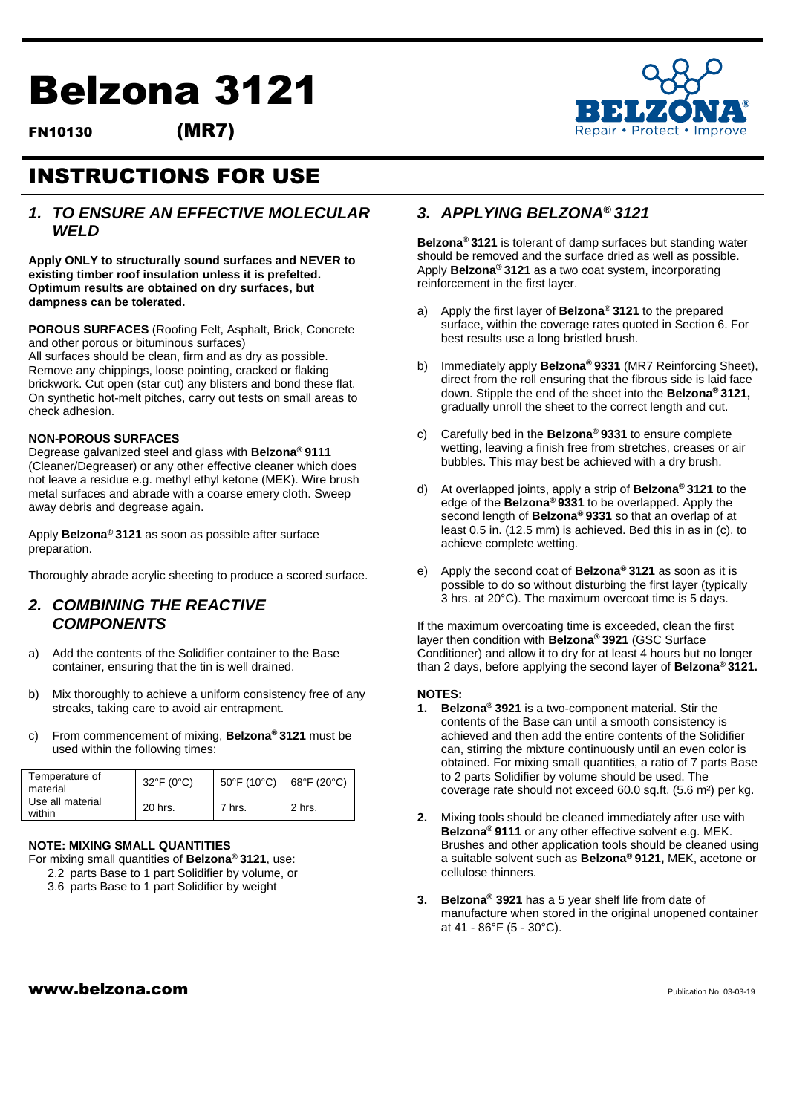# Belzona 3121

FN10130 (MR7)



## INSTRUCTIONS FOR USE

#### *1. TO ENSURE AN EFFECTIVE MOLECULAR WELD*

**Apply ONLY to structurally sound surfaces and NEVER to existing timber roof insulation unless it is prefelted. Optimum results are obtained on dry surfaces, but dampness can be tolerated.** 

**POROUS SURFACES** (Roofing Felt, Asphalt, Brick, Concrete and other porous or bituminous surfaces)

All surfaces should be clean, firm and as dry as possible. Remove any chippings, loose pointing, cracked or flaking brickwork. Cut open (star cut) any blisters and bond these flat. On synthetic hot-melt pitches, carry out tests on small areas to check adhesion.

#### **NON-POROUS SURFACES**

Degrease galvanized steel and glass with **Belzona® 9111** (Cleaner/Degreaser) or any other effective cleaner which does not leave a residue e.g. methyl ethyl ketone (MEK). Wire brush metal surfaces and abrade with a coarse emery cloth. Sweep away debris and degrease again.

Apply **Belzona® 3121** as soon as possible after surface preparation.

Thoroughly abrade acrylic sheeting to produce a scored surface.

#### *2. COMBINING THE REACTIVE COMPONENTS*

- a) Add the contents of the Solidifier container to the Base container, ensuring that the tin is well drained.
- b) Mix thoroughly to achieve a uniform consistency free of any streaks, taking care to avoid air entrapment.
- c) From commencement of mixing, **Belzona® 3121** must be used within the following times:

| Temperature of<br>material | $32^{\circ}F(0^{\circ}C)$ | $50^{\circ}$ F (10 $^{\circ}$ C) | 68°F (20°C) |
|----------------------------|---------------------------|----------------------------------|-------------|
| Use all material<br>within | 20 hrs.                   | 7 hrs.                           | 2 hrs.      |

#### **NOTE: MIXING SMALL QUANTITIES**

For mixing small quantities of **Belzona® 3121**, use:

- 2.2 parts Base to 1 part Solidifier by volume, or
- 3.6 parts Base to 1 part Solidifier by weight

#### *3. APPLYING BELZONA***®** *3121*

**Belzona® 3121** is tolerant of damp surfaces but standing water should be removed and the surface dried as well as possible. Apply **Belzona® 3121** as a two coat system, incorporating reinforcement in the first layer.

- a) Apply the first layer of **Belzona® 3121** to the prepared surface, within the coverage rates quoted in Section 6. For best results use a long bristled brush.
- b) Immediately apply **Belzona® 9331** (MR7 Reinforcing Sheet), direct from the roll ensuring that the fibrous side is laid face down. Stipple the end of the sheet into the **Belzona® 3121,**  gradually unroll the sheet to the correct length and cut.
- c) Carefully bed in the **Belzona® 9331** to ensure complete wetting, leaving a finish free from stretches, creases or air bubbles. This may best be achieved with a dry brush.
- d) At overlapped joints, apply a strip of **Belzona® 3121** to the edge of the **Belzona® 9331** to be overlapped. Apply the second length of **Belzona® 9331** so that an overlap of at least 0.5 in. (12.5 mm) is achieved. Bed this in as in (c), to achieve complete wetting.
- e) Apply the second coat of **Belzona® 3121** as soon as it is possible to do so without disturbing the first layer (typically 3 hrs. at 20°C). The maximum overcoat time is 5 days.

If the maximum overcoating time is exceeded, clean the first layer then condition with **Belzona® 3921** (GSC Surface Conditioner) and allow it to dry for at least 4 hours but no longer than 2 days, before applying the second layer of **Belzona® 3121.** 

#### **NOTES:**

- **1. Belzona® 3921** is a two-component material. Stir the contents of the Base can until a smooth consistency is achieved and then add the entire contents of the Solidifier can, stirring the mixture continuously until an even color is obtained. For mixing small quantities, a ratio of 7 parts Base to 2 parts Solidifier by volume should be used. The coverage rate should not exceed 60.0 sq.ft. (5.6 m²) per kg.
- **2.** Mixing tools should be cleaned immediately after use with **Belzona® 9111** or any other effective solvent e.g. MEK. Brushes and other application tools should be cleaned using a suitable solvent such as **Belzona® 9121,** MEK, acetone or cellulose thinners.
- **3. Belzona® 3921** has a 5 year shelf life from date of manufacture when stored in the original unopened container at 41 - 86°F (5 - 30°C).

#### $www.beIzona.com$